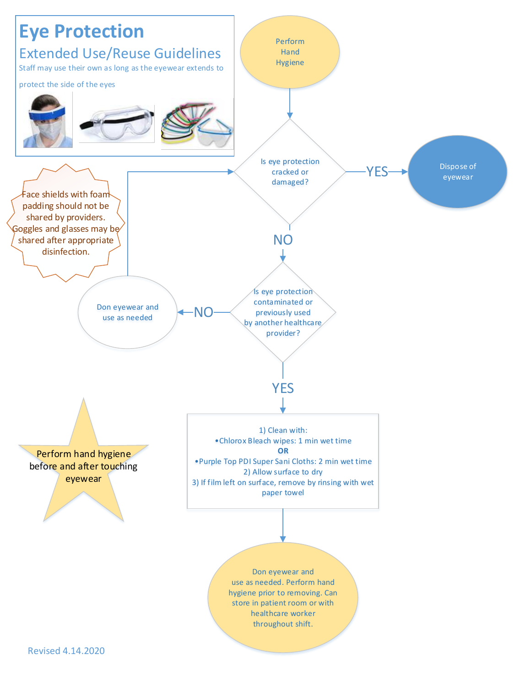